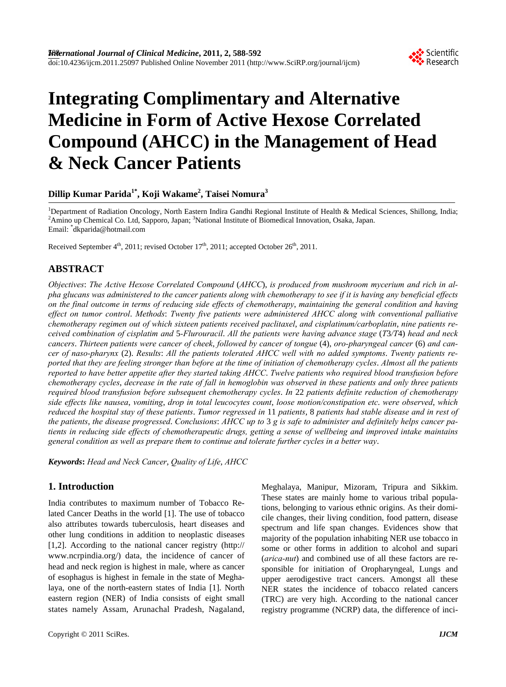

# **Integrating Complimentary and Alternative Medicine in Form of Active Hexose Correlated Compound (AHCC) in the Management of Head & Neck Cancer Patients**

## **Dillip Kumar Parida1\*, Koji Wakame2 , Taisei Nomura<sup>3</sup>**

<sup>1</sup>Department of Radiation Oncology, North Eastern Indira Gandhi Regional Institute of Health & Medical Sciences, Shillong, India; <sup>2</sup> Amino up Chemical Co. Ltd, Sapporo, Japan; <sup>3</sup> National Institute of Biomedical Innovation, Osaka, Japan. Email: \* dkparida@hotmail.com

Received September  $4<sup>th</sup>$ , 2011; revised October  $17<sup>th</sup>$ , 2011; accepted October  $26<sup>th</sup>$ , 2011.

## **ABSTRACT**

*Objectives*: *The Active Hexose Correlated Compound* (*AHCC*), *is produced from mushroom mycerium and rich in alpha glucans was administered to the cancer patients along with chemotherapy to see if it is having any beneficial effects on the final outcome in terms of reducing side effects of chemotherapy*, *maintaining the general condition and having effect on tumor control*. *Methods*: *Twenty five patients were administered AHCC along with conventional palliative chemotherapy regimen out of which sixteen patients received paclitaxel*, *and cisplatinum/carboplatin*, *nine patients received combination of cisplatim and* 5*-Flurouracil*. *All the patients were having advance stage* (*T*3*/T*4) *head and neck cancers*. *Thirteen patients were cancer of cheek*, *followed by cancer of tongue* (4), *oro-pharyngeal cancer* (6) *and cancer of naso-pharynx* (2). *Results*: *All the patients tolerated AHCC well with no added symptoms*. *Twenty patients reported that they are feeling stronger than before at the time of initiation of chemotherapy cycles*. *Almost all the patients reported to have better appetite after they started taking AHCC*. *Twelve patients who required blood transfusion before chemotherapy cycles*, *decrease in the rate of fall in hemoglobin was observed in these patients and only three patients required blood transfusion before subsequent chemotherapy cycles*. *In* 22 *patients definite reduction of chemotherapy side effects like nausea*, *vomiting*, *drop in total leucocytes count*, *loose motion/constipation etc*. *were observed*, *which reduced the hospital stay of these patients*. *Tumor regressed in* 11 *patients*, 8 *patients had stable disease and in rest of the patients*, *the disease progressed*. *Conclusions*: *AHCC up to* 3 *g is safe to administer and definitely helps cancer patients in reducing side effects of chemotherapeutic drugs, getting a sense of wellbeing and improved intake maintains general condition as well as prepare them to continue and tolerate further cycles in a better way*.

*Keywords***:** *Head and Neck Cancer*, *Quality of Life*, *AHCC* 

## **1. Introduction**

India contributes to maximum number of Tobacco Related Cancer Deaths in the world [1]. The use of tobacco also attributes towards tuberculosis, heart diseases and other lung conditions in addition to neoplastic diseases [1,2]. According to the national cancer registry (http:// www.ncrpindia.org/) data, the incidence of cancer of head and neck region is highest in male, where as cancer of esophagus is highest in female in the state of Meghalaya, one of the north-eastern states of India [1]. North eastern region (NER) of India consists of eight small states namely Assam, Arunachal Pradesh, Nagaland,

Meghalaya, Manipur, Mizoram, Tripura and Sikkim. These states are mainly home to various tribal populations, belonging to various ethnic origins. As their domicile changes, their living condition, food pattern, disease spectrum and life span changes. Evidences show that majority of the population inhabiting NER use tobacco in some or other forms in addition to alcohol and supari (*arica-nut*) and combined use of all these factors are responsible for initiation of Oropharyngeal, Lungs and upper aerodigestive tract cancers. Amongst all these NER states the incidence of tobacco related cancers (TRC) are very high. According to the national cancer registry programme (NCRP) data, the difference of inci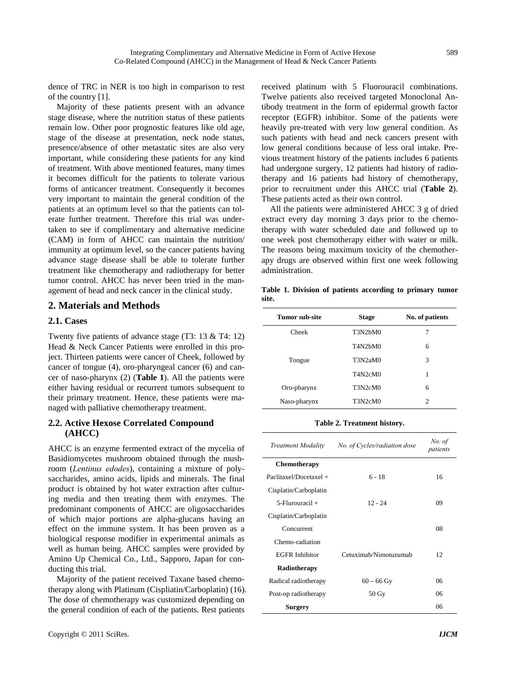dence of TRC in NER is too high in comparison to rest of the country [1].

Majority of these patients present with an advance stage disease, where the nutrition status of these patients remain low. Other poor prognostic features like old age, stage of the disease at presentation, neck node status, presence/absence of other metastatic sites are also very important, while considering these patients for any kind of treatment. With above mentioned features, many times it becomes difficult for the patients to tolerate various forms of anticancer treatment. Consequently it becomes very important to maintain the general condition of the patients at an optimum level so that the patients can tolerate further treatment. Therefore this trial was undertaken to see if complimentary and alternative medicine (CAM) in form of AHCC can maintain the nutrition/ immunity at optimum level, so the cancer patients having advance stage disease shall be able to tolerate further treatment like chemotherapy and radiotherapy for better tumor control. AHCC has never been tried in the management of head and neck cancer in the clinical study.

### **2. Materials and Methods**

#### **2.1. Cases**

Twenty five patients of advance stage (T3: 13 & T4: 12) Head & Neck Cancer Patients were enrolled in this project. Thirteen patients were cancer of Cheek, followed by cancer of tongue (4), oro-pharyngeal cancer (6) and cancer of naso-pharynx (2) (**Table 1**). All the patients were either having residual or recurrent tumors subsequent to their primary treatment. Hence, these patients were managed with palliative chemotherapy treatment.

#### **2.2. Active Hexose Correlated Compound (AHCC)**

AHCC is an enzyme fermented extract of the mycelia of Basidiomycetes mushroom obtained through the mushroom (*Lentinus edodes*), containing a mixture of polysaccharides, amino acids, lipids and minerals. The final product is obtained by hot water extraction after culturing media and then treating them with enzymes. The predominant components of AHCC are oligosaccharides of which major portions are alpha-glucans having an effect on the immune system. It has been proven as a biological response modifier in experimental animals as well as human being. AHCC samples were provided by Amino Up Chemical Co., Ltd., Sapporo, Japan for conducting this trial.

Majority of the patient received Taxane based chemotherapy along with Platinum (Cispliatin/Carboplatin) (16). The dose of chemotherapy was customized depending on the general condition of each of the patients. Rest patients

received platinum with 5 Fluorouracil combinations. Twelve patients also received targeted Monoclonal Antibody treatment in the form of epidermal growth factor receptor (EGFR) inhibitor. Some of the patients were heavily pre-treated with very low general condition. As such patients with head and neck cancers present with low general conditions because of less oral intake. Previous treatment history of the patients includes 6 patients had undergone surgery, 12 patients had history of radiotherapy and 16 patients had history of chemotherapy, prior to recruitment under this AHCC trial (**Table 2**). These patients acted as their own control.

All the patients were administered AHCC 3 g of dried extract every day morning 3 days prior to the chemotherapy with water scheduled date and followed up to one week post chemotherapy either with water or milk. The reasons being maximum toxicity of the chemotherapy drugs are observed within first one week following administration.

**Table 1. Division of patients according to primary tumor site.** 

| Tumor sub-site | <b>Stage</b>                                  | No. of patients |
|----------------|-----------------------------------------------|-----------------|
| Cheek          | T3N2bM0                                       | 7               |
|                | T <sub>4</sub> N <sub>2</sub> b <sub>M0</sub> | 6               |
| Tongue         | T3N2aM0                                       | 3               |
|                | T4N2cM0                                       | 1               |
| Oro-pharynx    | T3N2cM0                                       | 6               |
| Naso-pharynx   | T3N2cM0                                       | $\overline{c}$  |

**Table 2. Treatment history.** 

| Treatment Modality       | No. of Cycles/radiation dose | No. of<br>patients |
|--------------------------|------------------------------|--------------------|
| Chemotherapy             |                              |                    |
| $Paclitaxel/Docetaxel +$ | $6 - 18$                     | 16                 |
| Cisplatin/Carboplatin    |                              |                    |
| $5$ -Flurouracil +       | $12 - 24$                    | 09                 |
| Cisplatin/Carboplatin    |                              |                    |
| Concurrent               |                              | 08                 |
| Chemo-radiation          |                              |                    |
| <b>EGFR</b> Inhibitor    | Cetuximab/Nimotuzumab        | 12.                |
| Radiotherapy             |                              |                    |
| Radical radiotherapy     | $60 - 66$ Gy                 | 06                 |
| Post-op radiotherapy     | $50 \,\mathrm{Gy}$           | 06                 |
| Surgery                  |                              | 06                 |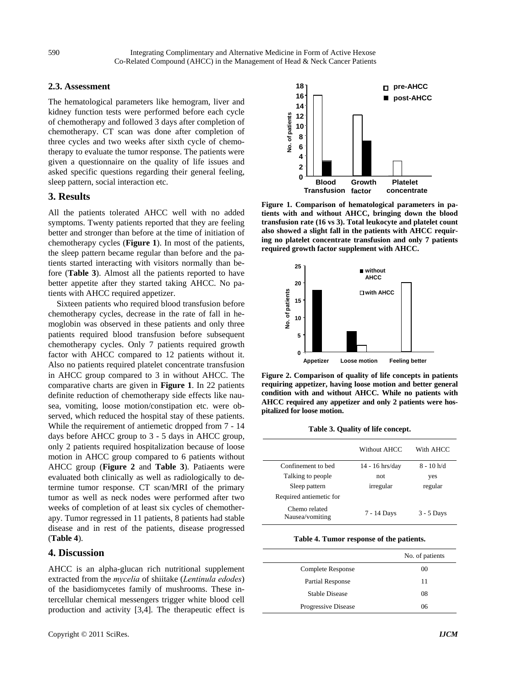#### **2.3. Assessment**

The hematological parameters like hemogram, liver and kidney function tests were performed before each cycle of chemotherapy and followed 3 days after completion of chemotherapy. CT scan was done after completion of three cycles and two weeks after sixth cycle of chemotherapy to evaluate the tumor response. The patients were given a questionnaire on the quality of life issues and asked specific questions regarding their general feeling, sleep pattern, social interaction etc.

#### **3. Results**

All the patients tolerated AHCC well with no added symptoms. Twenty patients reported that they are feeling better and stronger than before at the time of initiation of chemotherapy cycles (**Figure 1**). In most of the patients, the sleep pattern became regular than before and the patients started interacting with visitors normally than before (**Table 3**). Almost all the patients reported to have better appetite after they started taking AHCC. No patients with AHCC required appetizer.

Sixteen patients who required blood transfusion before chemotherapy cycles, decrease in the rate of fall in hemoglobin was observed in these patients and only three patients required blood transfusion before subsequent chemotherapy cycles. Only 7 patients required growth factor with AHCC compared to 12 patients without it. Also no patients required platelet concentrate transfusion in AHCC group compared to 3 in without AHCC. The comparative charts are given in **Figure 1**. In 22 patients definite reduction of chemotherapy side effects like nausea, vomiting, loose motion/constipation etc. were observed, which reduced the hospital stay of these patients. While the requirement of antiemetic dropped from 7 - 14 days before AHCC group to 3 - 5 days in AHCC group, only 2 patients required hospitalization because of loose motion in AHCC group compared to 6 patients without AHCC group (**Figure 2** and **Table 3**). Patiaents were evaluated both clinically as well as radiologically to determine tumor response. CT scan/MRI of the primary tumor as well as neck nodes were performed after two weeks of completion of at least six cycles of chemotherapy. Tumor regressed in 11 patients, 8 patients had stable disease and in rest of the patients, disease progressed (**Table 4**).

## **4. Discussion**

AHCC is an alpha-glucan rich nutritional supplement extracted from the *mycelia* of shiitake (*Lentinula edodes*) of the basidiomycetes family of mushrooms. These intercellular chemical messengers trigger white blood cell production and activity [3,4]. The therapeutic effect is



**Figure 1. Comparison of hematological parameters in patients with and without AHCC, bringing down the blood transfusion rate (16 vs 3). Total leukocyte and platelet count also showed a slight fall in the patients with AHCC requiring no platelet concentrate transfusion and only 7 patients required growth factor supplement with AHCC.** 



**Figure 2. Comparison of quality of life concepts in patients requiring appetizer, having loose motion and better general condition with and without AHCC. While no patients with AHCC required any appetizer and only 2 patients were hospitalized for loose motion.** 

**Table 3. Quality of life concept.** 

|                                  | Without AHCC      | With AHCC    |
|----------------------------------|-------------------|--------------|
| Confinement to bed               | $14 - 16$ hrs/day | $8 - 10 h/d$ |
| Talking to people                | not               | yes          |
| Sleep pattern                    | irregular         | regular      |
| Required antiemetic for          |                   |              |
| Chemo related<br>Nausea/vomiting | 7 - 14 Days       | 3 - 5 Days   |

**Table 4. Tumor response of the patients.** 

|                       | No. of patients |
|-----------------------|-----------------|
| Complete Response     | 00              |
| Partial Response      | 11              |
| <b>Stable Disease</b> | 08              |
| Progressive Disease   | 06              |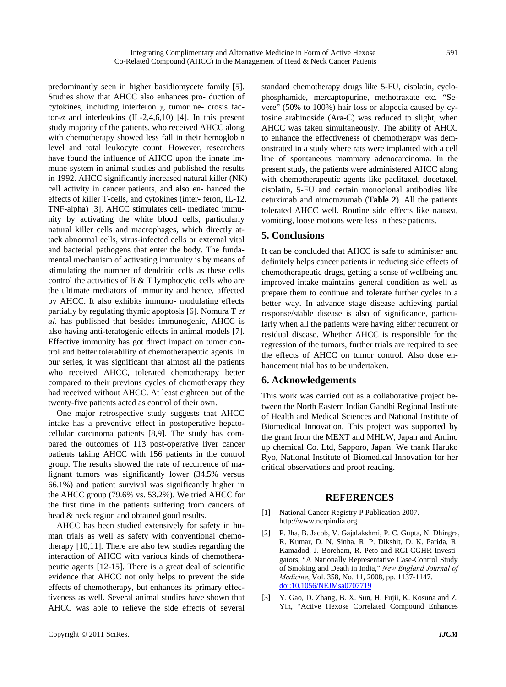predominantly seen in higher basidiomycete family [5]. Studies show that AHCC also enhances pro- duction of cytokines, including interferon *γ*, tumor ne- crosis factor- $\alpha$  and interleukins (IL-2,4,6,10) [4]. In this present study majority of the patients, who received AHCC along with chemotherapy showed less fall in their hemoglobin level and total leukocyte count. However, researchers have found the influence of AHCC upon the innate immune system in animal studies and published the results in 1992. AHCC significantly increased natural killer (NK) cell activity in cancer patients, and also en- hanced the effects of killer T-cells, and cytokines (inter- feron, IL-12, TNF-alpha) [3]. AHCC stimulates cell- mediated immunity by activating the white blood cells, particularly natural killer cells and macrophages, which directly attack abnormal cells, virus-infected cells or external vital and bacterial pathogens that enter the body. The fundamental mechanism of activating immunity is by means of stimulating the number of dendritic cells as these cells control the activities of B & T lymphocytic cells who are the ultimate mediators of immunity and hence, affected by AHCC. It also exhibits immuno- modulating effects partially by regulating thymic apoptosis [6]. Nomura T *et al.* has published that besides immunogenic, AHCC is also having anti-teratogenic effects in animal models [7]. Effective immunity has got direct impact on tumor control and better tolerability of chemotherapeutic agents. In our series, it was significant that almost all the patients who received AHCC, tolerated chemotherapy better compared to their previous cycles of chemotherapy they had received without AHCC. At least eighteen out of the twenty-five patients acted as control of their own.

One major retrospective study suggests that AHCC intake has a preventive effect in postoperative hepatocellular carcinoma patients [8,9]. The study has compared the outcomes of 113 post-operative liver cancer patients taking AHCC with 156 patients in the control group. The results showed the rate of recurrence of malignant tumors was significantly lower (34.5% versus 66.1%) and patient survival was significantly higher in the AHCC group (79.6% vs. 53.2%). We tried AHCC for the first time in the patients suffering from cancers of head & neck region and obtained good results.

AHCC has been studied extensively for safety in human trials as well as safety with conventional chemotherapy [10,11]. There are also few studies regarding the interaction of AHCC with various kinds of chemotherapeutic agents [12-15]. There is a great deal of scientific evidence that AHCC not only helps to prevent the side effects of chemotherapy, but enhances its primary effectiveness as well. Several animal studies have shown that AHCC was able to relieve the side effects of several standard chemotherapy drugs like 5-FU, cisplatin, cyclophosphamide, mercaptopurine, methotraxate etc. "Severe" (50% to 100%) hair loss or alopecia caused by cytosine arabinoside (Ara-C) was reduced to slight, when AHCC was taken simultaneously. The ability of AHCC to enhance the effectiveness of chemotherapy was demonstrated in a study where rats were implanted with a cell line of spontaneous mammary adenocarcinoma. In the present study, the patients were administered AHCC along with chemotherapeutic agents like paclitaxel, docetaxel, cisplatin, 5-FU and certain monoclonal antibodies like cetuximab and nimotuzumab (**Table 2**). All the patients tolerated AHCC well. Routine side effects like nausea, vomiting, loose motions were less in these patients.

#### **5. Conclusions**

It can be concluded that AHCC is safe to administer and definitely helps cancer patients in reducing side effects of chemotherapeutic drugs, getting a sense of wellbeing and improved intake maintains general condition as well as prepare them to continue and tolerate further cycles in a better way. In advance stage disease achieving partial response/stable disease is also of significance, particularly when all the patients were having either recurrent or residual disease. Whether AHCC is responsible for the regression of the tumors, further trials are required to see the effects of AHCC on tumor control. Also dose enhancement trial has to be undertaken.

#### **6. Acknowledgements**

This work was carried out as a collaborative project between the North Eastern Indian Gandhi Regional Institute of Health and Medical Sciences and National Institute of Biomedical Innovation. This project was supported by the grant from the MEXT and MHLW, Japan and Amino up chemical Co. Ltd, Sapporo, Japan. We thank Haruko Ryo, National Institute of Biomedical Innovation for her critical observations and proof reading.

#### **REFERENCES**

- [1] National Cancer Registry P Publication 2007. [http://www.ncrpindia.org](http://www.ncrpindia.org/)
- [2] P. Jha, B. Jacob, V. Gajalakshmi, P. C. Gupta, N. Dhingra, R. Kumar, D. N. Sinha, R. P. Dikshit, D. K. Parida, R. Kamadod, J. Boreham, R. Peto and RGI-CGHR Investigators, "A Nationally Representative Case-Control Study of Smoking and Death in India," *New England Journal of Medicine*, Vol. 358, No. 11, 2008, pp. 1137-1147. [doi:10.1056/NEJMsa0707719](http://dx.doi.org/10.1056/NEJMsa0707719)
- [3] Y. Gao, D. Zhang, B. X. Sun, H. Fujii, K. Kosuna and Z. Yin, "Active Hexose Correlated Compound Enhances